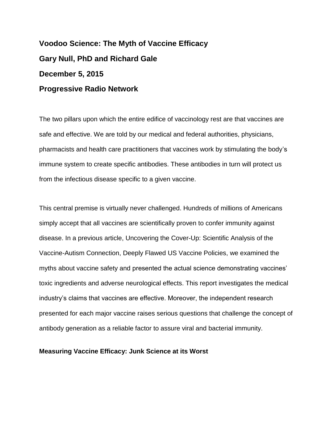**Voodoo Science: The Myth of Vaccine Efficacy Gary Null, PhD and Richard Gale December 5, 2015 Progressive Radio Network**

The two pillars upon which the entire edifice of vaccinology rest are that vaccines are safe and effective. We are told by our medical and federal authorities, physicians, pharmacists and health care practitioners that vaccines work by stimulating the body's immune system to create specific antibodies. These antibodies in turn will protect us from the infectious disease specific to a given vaccine.

This central premise is virtually never challenged. Hundreds of millions of Americans simply accept that all vaccines are scientifically proven to confer immunity against disease. In a previous article, Uncovering the Cover-Up: Scientific Analysis of the Vaccine-Autism Connection, Deeply Flawed US Vaccine Policies, we examined the myths about vaccine safety and presented the actual science demonstrating vaccines' toxic ingredients and adverse neurological effects. This report investigates the medical industry's claims that vaccines are effective. Moreover, the independent research presented for each major vaccine raises serious questions that challenge the concept of antibody generation as a reliable factor to assure viral and bacterial immunity.

## **Measuring Vaccine Efficacy: Junk Science at its Worst**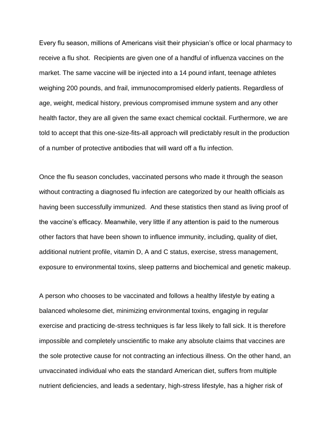Every flu season, millions of Americans visit their physician's office or local pharmacy to receive a flu shot. Recipients are given one of a handful of influenza vaccines on the market. The same vaccine will be injected into a 14 pound infant, teenage athletes weighing 200 pounds, and frail, immunocompromised elderly patients. Regardless of age, weight, medical history, previous compromised immune system and any other health factor, they are all given the same exact chemical cocktail. Furthermore, we are told to accept that this one-size-fits-all approach will predictably result in the production of a number of protective antibodies that will ward off a flu infection.

Once the flu season concludes, vaccinated persons who made it through the season without contracting a diagnosed flu infection are categorized by our health officials as having been successfully immunized. And these statistics then stand as living proof of the vaccine's efficacy. Meanwhile, very little if any attention is paid to the numerous other factors that have been shown to influence immunity, including, quality of diet, additional nutrient profile, vitamin D, A and C status, exercise, stress management, exposure to environmental toxins, sleep patterns and biochemical and genetic makeup.

A person who chooses to be vaccinated and follows a healthy lifestyle by eating a balanced wholesome diet, minimizing environmental toxins, engaging in regular exercise and practicing de-stress techniques is far less likely to fall sick. It is therefore impossible and completely unscientific to make any absolute claims that vaccines are the sole protective cause for not contracting an infectious illness. On the other hand, an unvaccinated individual who eats the standard American diet, suffers from multiple nutrient deficiencies, and leads a sedentary, high-stress lifestyle, has a higher risk of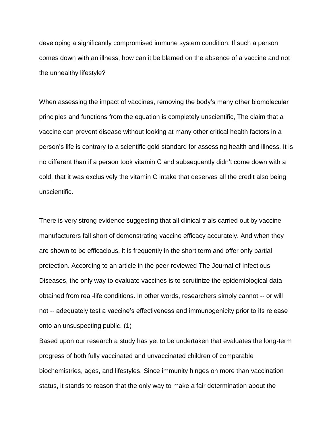developing a significantly compromised immune system condition. If such a person comes down with an illness, how can it be blamed on the absence of a vaccine and not the unhealthy lifestyle?

When assessing the impact of vaccines, removing the body's many other biomolecular principles and functions from the equation is completely unscientific, The claim that a vaccine can prevent disease without looking at many other critical health factors in a person's life is contrary to a scientific gold standard for assessing health and illness. It is no different than if a person took vitamin C and subsequently didn't come down with a cold, that it was exclusively the vitamin C intake that deserves all the credit also being unscientific.

There is very strong evidence suggesting that all clinical trials carried out by vaccine manufacturers fall short of demonstrating vaccine efficacy accurately. And when they are shown to be efficacious, it is frequently in the short term and offer only partial protection. According to an article in the peer-reviewed The Journal of Infectious Diseases, the only way to evaluate vaccines is to scrutinize the epidemiological data obtained from real-life conditions. In other words, researchers simply cannot -- or will not -- adequately test a vaccine's effectiveness and immunogenicity prior to its release onto an unsuspecting public. (1)

Based upon our research a study has yet to be undertaken that evaluates the long-term progress of both fully vaccinated and unvaccinated children of comparable biochemistries, ages, and lifestyles. Since immunity hinges on more than vaccination status, it stands to reason that the only way to make a fair determination about the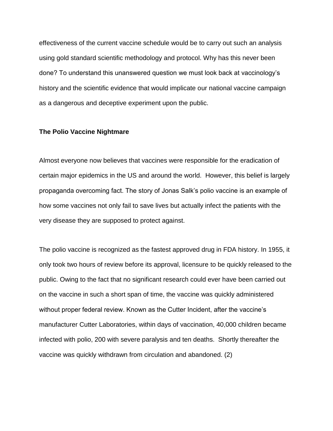effectiveness of the current vaccine schedule would be to carry out such an analysis using gold standard scientific methodology and protocol. Why has this never been done? To understand this unanswered question we must look back at vaccinology's history and the scientific evidence that would implicate our national vaccine campaign as a dangerous and deceptive experiment upon the public.

## **The Polio Vaccine Nightmare**

Almost everyone now believes that vaccines were responsible for the eradication of certain major epidemics in the US and around the world. However, this belief is largely propaganda overcoming fact. The story of Jonas Salk's polio vaccine is an example of how some vaccines not only fail to save lives but actually infect the patients with the very disease they are supposed to protect against.

The polio vaccine is recognized as the fastest approved drug in FDA history. In 1955, it only took two hours of review before its approval, licensure to be quickly released to the public. Owing to the fact that no significant research could ever have been carried out on the vaccine in such a short span of time, the vaccine was quickly administered without proper federal review. Known as the Cutter Incident, after the vaccine's manufacturer Cutter Laboratories, within days of vaccination, 40,000 children became infected with polio, 200 with severe paralysis and ten deaths. Shortly thereafter the vaccine was quickly withdrawn from circulation and abandoned. (2)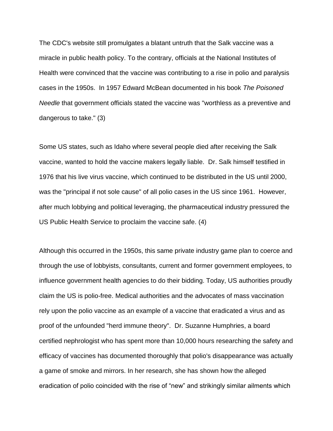The CDC's website still promulgates a blatant untruth that the Salk vaccine was a miracle in public health policy. To the contrary, officials at the National Institutes of Health were convinced that the vaccine was contributing to a rise in polio and paralysis cases in the 1950s. In 1957 Edward McBean documented in his book *The Poisoned Needle* that government officials stated the vaccine was "worthless as a preventive and dangerous to take." (3)

Some US states, such as Idaho where several people died after receiving the Salk vaccine, wanted to hold the vaccine makers legally liable. Dr. Salk himself testified in 1976 that his live virus vaccine, which continued to be distributed in the US until 2000, was the "principal if not sole cause" of all polio cases in the US since 1961. However, after much lobbying and political leveraging, the pharmaceutical industry pressured the US Public Health Service to proclaim the vaccine safe. (4)

Although this occurred in the 1950s, this same private industry game plan to coerce and through the use of lobbyists, consultants, current and former government employees, to influence government health agencies to do their bidding. Today, US authorities proudly claim the US is polio-free. Medical authorities and the advocates of mass vaccination rely upon the polio vaccine as an example of a vaccine that eradicated a virus and as proof of the unfounded "herd immune theory". Dr. Suzanne Humphries, a board certified nephrologist who has spent more than 10,000 hours researching the safety and efficacy of vaccines has documented thoroughly that polio's disappearance was actually a game of smoke and mirrors. In her research, she has shown how the alleged eradication of polio coincided with the rise of "new" and strikingly similar ailments which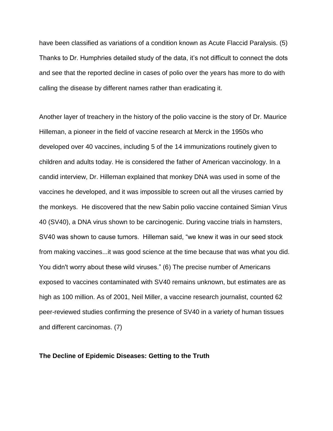have been classified as variations of a condition known as Acute Flaccid Paralysis. (5) Thanks to Dr. Humphries detailed study of the data, it's not difficult to connect the dots and see that the reported decline in cases of polio over the years has more to do with calling the disease by different names rather than eradicating it.

Another layer of treachery in the history of the polio vaccine is the story of Dr. Maurice Hilleman, a pioneer in the field of vaccine research at Merck in the 1950s who developed over 40 vaccines, including 5 of the 14 immunizations routinely given to children and adults today. He is considered the father of American vaccinology. In a candid interview, Dr. Hilleman explained that monkey DNA was used in some of the vaccines he developed, and it was impossible to screen out all the viruses carried by the monkeys. He discovered that the new Sabin polio vaccine contained Simian Virus 40 (SV40), a DNA virus shown to be carcinogenic. During vaccine trials in hamsters, SV40 was shown to cause tumors. Hilleman said, "we knew it was in our seed stock from making vaccines...it was good science at the time because that was what you did. You didn't worry about these wild viruses." (6) The precise number of Americans exposed to vaccines contaminated with SV40 remains unknown, but estimates are as high as 100 million. As of 2001, Neil Miller, a vaccine research journalist, counted 62 peer-reviewed studies confirming the presence of SV40 in a variety of human tissues and different carcinomas. (7)

### **The Decline of Epidemic Diseases: Getting to the Truth**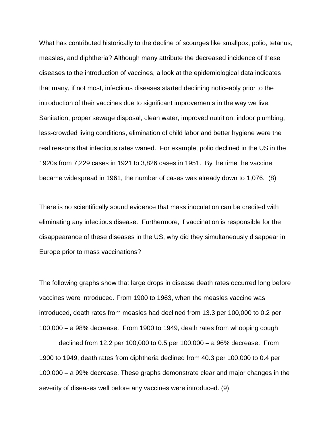What has contributed historically to the decline of scourges like smallpox, polio, tetanus, measles, and diphtheria? Although many attribute the decreased incidence of these diseases to the introduction of vaccines, a look at the epidemiological data indicates that many, if not most, infectious diseases started declining noticeably prior to the introduction of their vaccines due to significant improvements in the way we live. Sanitation, proper sewage disposal, clean water, improved nutrition, indoor plumbing, less-crowded living conditions, elimination of child labor and better hygiene were the real reasons that infectious rates waned. For example, polio declined in the US in the 1920s from 7,229 cases in 1921 to 3,826 cases in 1951. By the time the vaccine became widespread in 1961, the number of cases was already down to 1,076. (8)

There is no scientifically sound evidence that mass inoculation can be credited with eliminating any infectious disease. Furthermore, if vaccination is responsible for the disappearance of these diseases in the US, why did they simultaneously disappear in Europe prior to mass vaccinations?

The following graphs show that large drops in disease death rates occurred long before vaccines were introduced. From 1900 to 1963, when the measles vaccine was introduced, death rates from measles had declined from 13.3 per 100,000 to 0.2 per 100,000 – a 98% decrease. From 1900 to 1949, death rates from whooping cough

declined from 12.2 per 100,000 to 0.5 per 100,000 – a 96% decrease. From 1900 to 1949, death rates from diphtheria declined from 40.3 per 100,000 to 0.4 per 100,000 – a 99% decrease. These graphs demonstrate clear and major changes in the severity of diseases well before any vaccines were introduced. (9)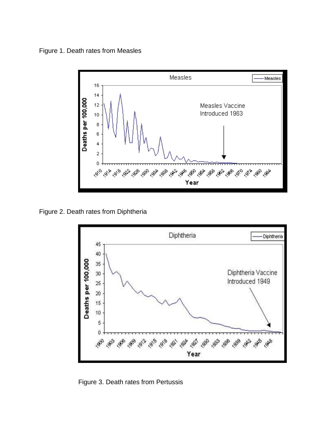Figure 1. Death rates from Measles



Figure 2. Death rates from Diphtheria



Figure 3. Death rates from Pertussis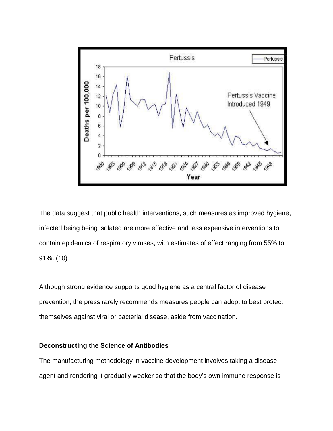

The data suggest that public health interventions, such measures as improved hygiene, infected being being isolated are more effective and less expensive interventions to contain epidemics of respiratory viruses, with estimates of effect ranging from 55% to 91%. (10)

Although strong evidence supports good hygiene as a central factor of disease prevention, the press rarely recommends measures people can adopt to best protect themselves against viral or bacterial disease, aside from vaccination.

# **Deconstructing the Science of Antibodies**

The manufacturing methodology in vaccine development involves taking a disease agent and rendering it gradually weaker so that the body's own immune response is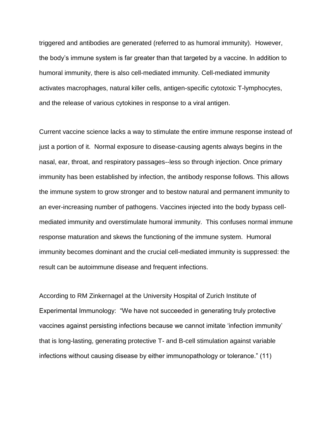triggered and antibodies are generated (referred to as humoral immunity). However, the body's immune system is far greater than that targeted by a vaccine. In addition to humoral immunity, there is also cell-mediated immunity. Cell-mediated immunity activates macrophages, natural killer cells, antigen-specific cytotoxic T-lymphocytes, and the release of various cytokines in response to a viral antigen.

Current vaccine science lacks a way to stimulate the entire immune response instead of just a portion of it. Normal exposure to disease-causing agents always begins in the nasal, ear, throat, and respiratory passages--less so through injection. Once primary immunity has been established by infection, the antibody response follows. This allows the immune system to grow stronger and to bestow natural and permanent immunity to an ever-increasing number of pathogens. Vaccines injected into the body bypass cellmediated immunity and overstimulate humoral immunity. This confuses normal immune response maturation and skews the functioning of the immune system. Humoral immunity becomes dominant and the crucial cell-mediated immunity is suppressed: the result can be autoimmune disease and frequent infections.

According to RM Zinkernagel at the University Hospital of Zurich Institute of Experimental Immunology: "We have not succeeded in generating truly protective vaccines against persisting infections because we cannot imitate 'infection immunity' that is long-lasting, generating protective T- and B-cell stimulation against variable infections without causing disease by either immunopathology or tolerance." (11)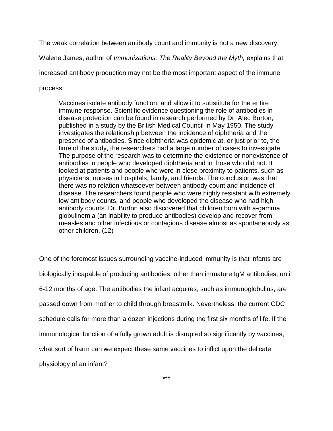The weak correlation between antibody count and immunity is not a new discovery.

Walene James, author of *Immunizations: The Reality Beyond the Myth,* explains that

increased antibody production may not be the most important aspect of the immune

process:

Vaccines isolate antibody function, and allow it to substitute for the entire immune response. Scientific evidence questioning the role of antibodies in disease protection can be found in research performed by Dr. Alec Burton, published in a study by the British Medical Council in May 1950. The study investigates the relationship between the incidence of diphtheria and the presence of antibodies. Since diphtheria was epidemic at, or just prior to, the time of the study, the researchers had a large number of cases to investigate. The purpose of the research was to determine the existence or nonexistence of antibodies in people who developed diphtheria and in those who did not. It looked at patients and people who were in close proximity to patients, such as physicians, nurses in hospitals, family, and friends. The conclusion was that there was no relation whatsoever between antibody count and incidence of disease. The researchers found people who were highly resistant with extremely low antibody counts, and people who developed the disease who had high antibody counts. Dr. Burton also discovered that children born with a-gamma globulinemia (an inability to produce antibodies) develop and recover from measles and other infectious or contagious disease almost as spontaneously as other children. (12)

One of the foremost issues surrounding vaccine-induced immunity is that infants are biologically incapable of producing antibodies, other than immature IgM antibodies, until 6-12 months of age. The antibodies the infant acquires, such as immunoglobulins, are passed down from mother to child through breastmilk. Nevertheless, the current CDC schedule calls for more than a dozen injections during the first six months of life. If the immunological function of a fully grown adult is disrupted so significantly by vaccines, what sort of harm can we expect these same vaccines to inflict upon the delicate physiology of an infant?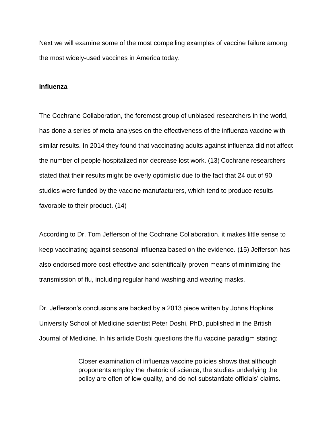Next we will examine some of the most compelling examples of vaccine failure among the most widely-used vaccines in America today.

## **Influenza**

The Cochrane Collaboration, the foremost group of unbiased researchers in the world, has done a series of meta-analyses on the effectiveness of the influenza vaccine with similar results. In 2014 they found that vaccinating adults against influenza did not affect the number of people hospitalized nor decrease lost work. (13) Cochrane researchers stated that their results might be overly optimistic due to the fact that 24 out of 90 studies were funded by the vaccine manufacturers, which tend to produce results favorable to their product. (14)

According to Dr. Tom Jefferson of the Cochrane Collaboration, it makes little sense to keep vaccinating against seasonal influenza based on the evidence. (15) Jefferson has also endorsed more cost-effective and scientifically-proven means of minimizing the transmission of flu, including regular hand washing and wearing masks.

Dr. Jefferson's conclusions are backed by a 2013 piece written by Johns Hopkins University School of Medicine scientist Peter Doshi, PhD, published in the British Journal of Medicine. In his article Doshi questions the flu vaccine paradigm stating:

> Closer examination of influenza vaccine policies shows that although proponents employ the rhetoric of science, the studies underlying the policy are often of low quality, and do not substantiate officials' claims.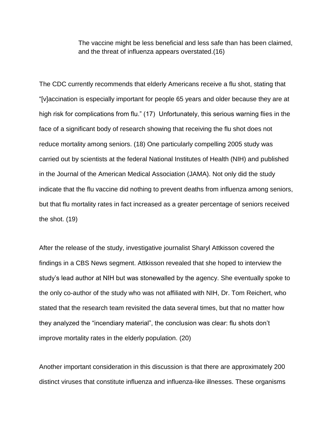The vaccine might be less beneficial and less safe than has been claimed, and the threat of influenza appears overstated.(16)

The CDC currently recommends that elderly Americans receive a flu shot, stating that "[v]accination is especially important for people 65 years and older because they are at high risk for complications from flu." (17) Unfortunately, this serious warning flies in the face of a significant body of research showing that receiving the flu shot does not reduce mortality among seniors. (18) One particularly compelling 2005 study was carried out by scientists at the federal National Institutes of Health (NIH) and published in the Journal of the American Medical Association (JAMA). Not only did the study indicate that the flu vaccine did nothing to prevent deaths from influenza among seniors, but that flu mortality rates in fact increased as a greater percentage of seniors received the shot. (19)

After the release of the study, investigative journalist Sharyl Attkisson covered the findings in a CBS News segment. Attkisson revealed that she hoped to interview the study's lead author at NIH but was stonewalled by the agency. She eventually spoke to the only co-author of the study who was not affiliated with NIH, Dr. Tom Reichert, who stated that the research team revisited the data several times, but that no matter how they analyzed the "incendiary material", the conclusion was clear: flu shots don't improve mortality rates in the elderly population. (20)

Another important consideration in this discussion is that there are approximately 200 distinct viruses that constitute influenza and influenza-like illnesses. These organisms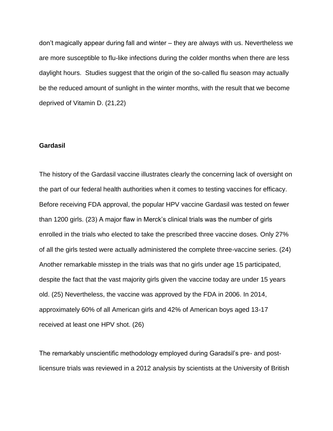don't magically appear during fall and winter – they are always with us. Nevertheless we are more susceptible to flu-like infections during the colder months when there are less daylight hours. Studies suggest that the origin of the so-called flu season may actually be the reduced amount of sunlight in the winter months, with the result that we become deprived of Vitamin D. (21,22)

#### **Gardasil**

The history of the Gardasil vaccine illustrates clearly the concerning lack of oversight on the part of our federal health authorities when it comes to testing vaccines for efficacy. Before receiving FDA approval, the popular HPV vaccine Gardasil was tested on fewer than 1200 girls. (23) A major flaw in Merck's clinical trials was the number of girls enrolled in the trials who elected to take the prescribed three vaccine doses. Only 27% of all the girls tested were actually administered the complete three-vaccine series. (24) Another remarkable misstep in the trials was that no girls under age 15 participated, despite the fact that the vast majority girls given the vaccine today are under 15 years old. (25) Nevertheless, the vaccine was approved by the FDA in 2006. In 2014, approximately 60% of all American girls and 42% of American boys aged 13-17 received at least one HPV shot. (26)

The remarkably unscientific methodology employed during Garadsil's pre- and postlicensure trials was reviewed in a 2012 analysis by scientists at the University of British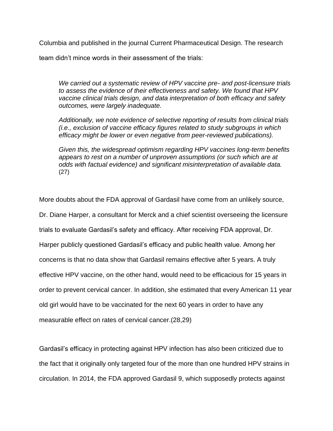Columbia and published in the journal Current Pharmaceutical Design. The research

team didn't mince words in their assessment of the trials:

*We carried out a systematic review of HPV vaccine pre- and post-licensure trials to assess the evidence of their effectiveness and safety. We found that HPV vaccine clinical trials design, and data interpretation of both efficacy and safety outcomes, were largely inadequate.*

*Additionally, we note evidence of selective reporting of results from clinical trials (i.e., exclusion of vaccine efficacy figures related to study subgroups in which efficacy might be lower or even negative from peer-reviewed publications).*

*Given this, the widespread optimism regarding HPV vaccines long-term benefits appears to rest on a number of unproven assumptions (or such which are at odds with factual evidence) and significant misinterpretation of available data.* (27)

More doubts about the FDA approval of Gardasil have come from an unlikely source, Dr. Diane Harper, a consultant for Merck and a chief scientist overseeing the licensure trials to evaluate Gardasil's safety and efficacy. After receiving FDA approval, Dr. Harper publicly questioned Gardasil's efficacy and public health value. Among her concerns is that no data show that Gardasil remains effective after 5 years. A truly effective HPV vaccine, on the other hand, would need to be efficacious for 15 years in order to prevent cervical cancer. In addition, she estimated that every American 11 year old girl would have to be vaccinated for the next 60 years in order to have any measurable effect on rates of cervical cancer.(28,29)

Gardasil's efficacy in protecting against HPV infection has also been criticized due to the fact that it originally only targeted four of the more than one hundred HPV strains in circulation. In 2014, the FDA approved Gardasil 9, which supposedly protects against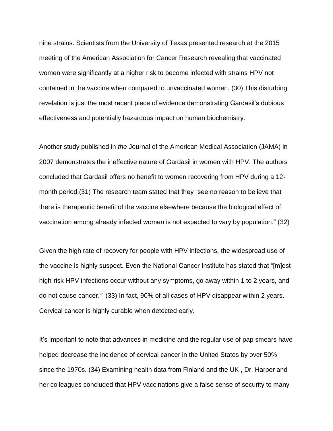nine strains. Scientists from the University of Texas presented research at the 2015 meeting of the American Association for Cancer Research revealing that vaccinated women were significantly at a higher risk to become infected with strains HPV not contained in the vaccine when compared to unvaccinated women. (30) This disturbing revelation is just the most recent piece of evidence demonstrating Gardasil's dubious effectiveness and potentially hazardous impact on human biochemistry.

Another study published in *the* Journal of the American Medical Association (JAMA) in 2007 demonstrates the ineffective nature of Gardasil in women with HPV. The authors concluded that Gardasil offers no benefit to women recovering from HPV during a 12 month period.(31) The research team stated that they "see no reason to believe that there is therapeutic benefit of the vaccine elsewhere because the biological effect of vaccination among already infected women is not expected to vary by population." (32)

Given the high rate of recovery for people with HPV infections, the widespread use of the vaccine is highly suspect. Even the National Cancer Institute has stated that "[m]ost high-risk HPV infections occur without any symptoms, go away within 1 to 2 years, and do not cause cancer.*"* (33) In fact, 90% of all cases of HPV disappear within 2 years. Cervical cancer is highly curable when detected early.

It's important to note that advances in medicine and the regular use of pap smears have helped decrease the incidence of cervical cancer in the United States by over 50% since the 1970s. (34) Examining health data from Finland and the UK , Dr. Harper and her colleagues concluded that HPV vaccinations give a false sense of security to many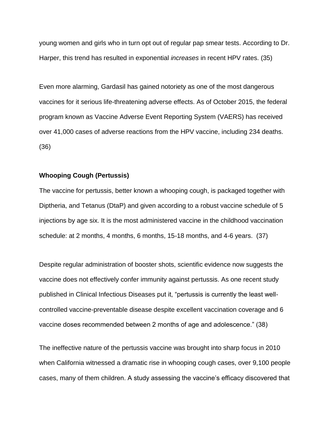young women and girls who in turn opt out of regular pap smear tests. According to Dr. Harper, this trend has resulted in exponential *increases* in recent HPV rates. (35)

Even more alarming, Gardasil has gained notoriety as one of the most dangerous vaccines for it serious life-threatening adverse effects. As of October 2015, the federal program known as Vaccine Adverse Event Reporting System (VAERS) has received over 41,000 cases of adverse reactions from the HPV vaccine, including 234 deaths. (36)

### **Whooping Cough (Pertussis)**

The vaccine for pertussis, better known a whooping cough, is packaged together with Diptheria, and Tetanus (DtaP) and given according to a robust vaccine schedule of 5 injections by age six. It is the most administered vaccine in the childhood vaccination schedule: at 2 months, 4 months, 6 months, 15-18 months, and 4-6 years. (37)

Despite regular administration of booster shots, scientific evidence now suggests the vaccine does not effectively confer immunity against pertussis. As one recent study published in Clinical Infectious Diseases put it, "pertussis is currently the least wellcontrolled vaccine-preventable disease despite excellent vaccination coverage and 6 vaccine doses recommended between 2 months of age and adolescence." (38)

The ineffective nature of the pertussis vaccine was brought into sharp focus in 2010 when California witnessed a dramatic rise in whooping cough cases, over 9,100 people cases, many of them children. A study assessing the vaccine's efficacy discovered that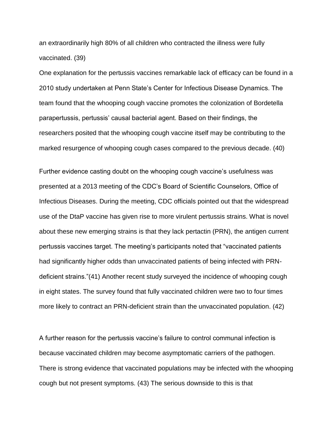an extraordinarily high 80% of all children who contracted the illness were fully vaccinated. (39)

One explanation for the pertussis vaccines remarkable lack of efficacy can be found in a 2010 study undertaken at Penn State's Center for Infectious Disease Dynamics. The team found that the whooping cough vaccine promotes the colonization of Bordetella parapertussis, pertussis' causal bacterial agent. Based on their findings, the researchers posited that the whooping cough vaccine itself may be contributing to the marked resurgence of whooping cough cases compared to the previous decade. (40)

Further evidence casting doubt on the whooping cough vaccine's usefulness was presented at a 2013 meeting of the CDC's Board of Scientific Counselors, Office of Infectious Diseases. During the meeting, CDC officials pointed out that the widespread use of the DtaP vaccine has given rise to more virulent pertussis strains. What is novel about these new emerging strains is that they lack pertactin (PRN), the antigen current pertussis vaccines target. The meeting's participants noted that "vaccinated patients had significantly higher odds than unvaccinated patients of being infected with PRNdeficient strains."(41) Another recent study surveyed the incidence of whooping cough in eight states. The survey found that fully vaccinated children were two to four times more likely to contract an PRN-deficient strain than the unvaccinated population. (42)

A further reason for the pertussis vaccine's failure to control communal infection is because vaccinated children may become asymptomatic carriers of the pathogen. There is strong evidence that vaccinated populations may be infected with the whooping cough but not present symptoms. (43) The serious downside to this is that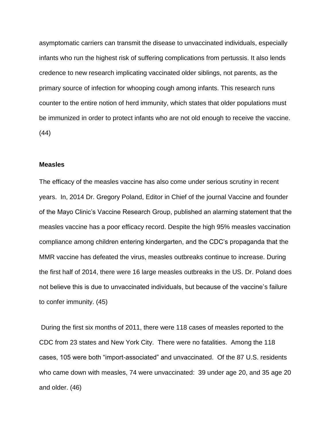asymptomatic carriers can transmit the disease to unvaccinated individuals, especially infants who run the highest risk of suffering complications from pertussis. It also lends credence to new research implicating vaccinated older siblings, not parents, as the primary source of infection for whooping cough among infants. This research runs counter to the entire notion of herd immunity, which states that older populations must be immunized in order to protect infants who are not old enough to receive the vaccine. (44)

## **Measles**

The efficacy of the measles vaccine has also come under serious scrutiny in recent years. In, 2014 Dr. Gregory Poland, Editor in Chief of the journal Vaccine and founder of the Mayo Clinic's Vaccine Research Group, published an alarming statement that the measles vaccine has a poor efficacy record. Despite the high 95% measles vaccination compliance among children entering kindergarten, and the CDC's propaganda that the MMR vaccine has defeated the virus, measles outbreaks continue to increase. During the first half of 2014, there were 16 large measles outbreaks in the US. Dr. Poland does not believe this is due to unvaccinated individuals, but because of the vaccine's failure to confer immunity. (45)

During the first six months of 2011, there were 118 cases of measles reported to the CDC from 23 states and New York City. There were no fatalities. Among the 118 cases, 105 were both "import-associated" and unvaccinated. Of the 87 U.S. residents who came down with measles, 74 were unvaccinated: 39 under age 20, and 35 age 20 and older. (46)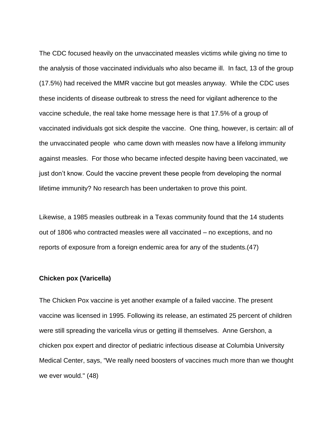The CDC focused heavily on the unvaccinated measles victims while giving no time to the analysis of those vaccinated individuals who also became ill. In fact, 13 of the group (17.5%) had received the MMR vaccine but got measles anyway. While the CDC uses these incidents of disease outbreak to stress the need for vigilant adherence to the vaccine schedule, the real take home message here is that 17.5% of a group of vaccinated individuals got sick despite the vaccine. One thing, however, is certain: all of the unvaccinated people who came down with measles now have a lifelong immunity against measles. For those who became infected despite having been vaccinated, we just don't know. Could the vaccine prevent these people from developing the normal lifetime immunity? No research has been undertaken to prove this point.

Likewise, a 1985 measles outbreak in a Texas community found that the 14 students out of 1806 who contracted measles were all vaccinated – no exceptions, and no reports of exposure from a foreign endemic area for any of the students.(47)

## **Chicken pox (Varicella)**

The Chicken Pox vaccine is yet another example of a failed vaccine. The present vaccine was licensed in 1995. Following its release, an estimated 25 percent of children were still spreading the varicella virus or getting ill themselves. Anne Gershon, a chicken pox expert and director of pediatric infectious disease at Columbia University Medical Center, says, "We really need boosters of vaccines much more than we thought we ever would." (48)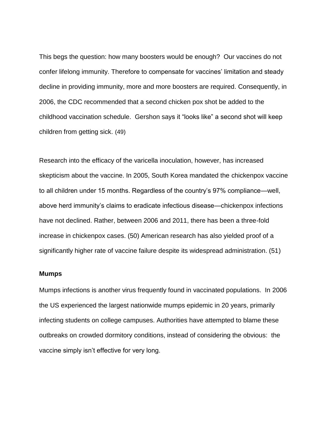This begs the question: how many boosters would be enough? Our vaccines do not confer lifelong immunity. Therefore to compensate for vaccines' limitation and steady decline in providing immunity, more and more boosters are required. Consequently, in 2006, the CDC recommended that a second chicken pox shot be added to the childhood vaccination schedule. Gershon says it "looks like" a second shot will keep children from getting sick. (49)

Research into the efficacy of the varicella inoculation, however, has increased skepticism about the vaccine. In 2005, South Korea mandated the chickenpox vaccine to all children under 15 months. Regardless of the country's 97% compliance—well, above herd immunity's claims to eradicate infectious disease—chickenpox infections have not declined. Rather, between 2006 and 2011, there has been a three-fold increase in chickenpox cases. (50) American research has also yielded proof of a significantly higher rate of vaccine failure despite its widespread administration. (51)

#### **Mumps**

Mumps infections is another virus frequently found in vaccinated populations. In 2006 the US experienced the largest nationwide mumps epidemic in 20 years, primarily infecting students on college campuses. Authorities have attempted to blame these outbreaks on crowded dormitory conditions, instead of considering the obvious: the vaccine simply isn't effective for very long.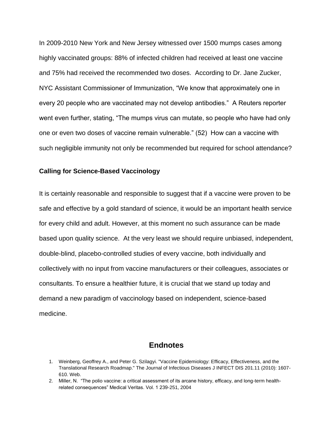In 2009-2010 New York and New Jersey witnessed over 1500 mumps cases among highly vaccinated groups: 88% of infected children had received at least one vaccine and 75% had received the recommended two doses. According to Dr. Jane Zucker, NYC Assistant Commissioner of Immunization, "We know that approximately one in every 20 people who are vaccinated may not develop antibodies." A Reuters reporter went even further, stating, "The mumps virus can mutate, so people who have had only one or even two doses of vaccine remain vulnerable." (52) How can a vaccine with such negligible immunity not only be recommended but required for school attendance?

### **Calling for Science-Based Vaccinology**

It is certainly reasonable and responsible to suggest that if a vaccine were proven to be safe and effective by a gold standard of science, it would be an important health service for every child and adult. However, at this moment no such assurance can be made based upon quality science. At the very least we should require unbiased, independent, double-blind, placebo-controlled studies of every vaccine, both individually and collectively with no input from vaccine manufacturers or their colleagues, associates or consultants. To ensure a healthier future, it is crucial that we stand up today and demand a new paradigm of vaccinology based on independent, science-based medicine.

# **Endnotes**

<sup>1.</sup> Weinberg, Geoffrey A., and Peter G. Szilagyi. "Vaccine Epidemiology: Efficacy, Effectiveness, and the Translational Research Roadmap." The Journal of Infectious Diseases J INFECT DIS 201.11 (2010): 1607- 610. Web.

<sup>2.</sup> Miller, N. "The polio vaccine: a critical assessment of its arcane history, efficacy, and long-term healthrelated consequences" Medical Veritas. Vol. 1 239-251, 2004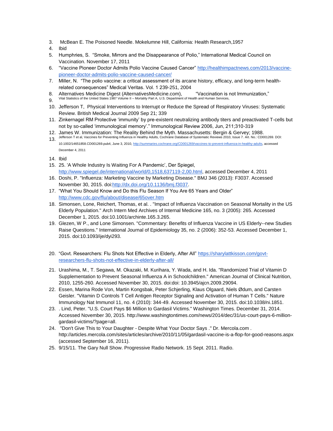- 3. McBean E. The Poisoned Needle. Mokelumne Hill, California: Health Research,1957
- 4. Ibid
- 5. Humphries, S. "Smoke, Mirrors and the Disappearance of Polio," International Medical Council on Vaccination. November 17, 2011
- 6. "Vaccine Pioneer Doctor Admits Polio Vaccine Caused Cancer" [http://healthimpactnews.com/2013/vaccine](http://healthimpactnews.com/2013/vaccine-pioneer-doctor-admits-polio-vaccine-caused-cancer/)[pioneer-doctor-admits-polio-vaccine-caused-cancer/](http://healthimpactnews.com/2013/vaccine-pioneer-doctor-admits-polio-vaccine-caused-cancer/)
- 7. Miller, N. "The polio vaccine: a critical assessment of its arcane history, efficacy, and long-term healthrelated consequences" Medical Veritas. Vol. 1 239-251, 2004
- 8. Alternatives Medicine Digest (AlternativesMedicine.com), "Vaccination is not Immunization,"
- 9. Vital Statistics of the United States 1987 Volume II Mortality Part A, U.S. Department of Health and Human Services,
- 10. Jefferson T, Physical Interventions to Interrupt or Reduce the Spread of Respiratory Viruses: Systematic Review. British Medical Journal 2009 Sep 21; 339
- 11. Zinkernagel RM Protective 'immunity' by pre-existent neutralizing antibody titers and preactivated T-cells but not by so-called 'immunological memory'." Immunological Review 2006, Jun, 211;310-319
- 12. James W. Immunization: The Reality Behind the Myth. Massachusetts: Bergin & Gervey; 1988.
- 13. Jefferson T et al, Vaccines for Preventing Influenza in Healthy Adults, Cochrane Database of Systematic Reviews 2010, Issue 7. Art. No.: CD001269. DOI: 10.1002/14651858.CD001269.pub4, June 3, 2010[, http://summaries.cochrane.org/CD001269/vaccines-to-prevent-influenza-in-healthy-adults,](http://summaries.cochrane.org/CD001269/vaccines-to-prevent-influenza-in-healthy-adults) accessed December 4, 2011
- 14. Ibid
- 15. 25. 'A Whole Industry Is Waiting For A Pandemic', Der Spiegel, [http://www.spiegel.de/international/world/0,1518,637119-2,00.html,](http://www.spiegel.de/international/world/0,1518,637119-2,00.html) accessed December 4, 2011
- 16. Doshi, P. "Influenza: Marketing Vaccine by Marketing Disease." BMJ 346 (2013): F3037. Accessed November 30, 2015. do[i:http://dx.doi.org/10.1136/bmj.f3037.](http://dx.doi.org/10.1136/bmj.f3037)
- 17. "What You Should Know and Do this Flu Season If You Are 65 Years and Older" <http://www.cdc.gov/flu/about/disease/65over.htm>
- 18. Simonsen, Lone, Reichert, Thomas, et al. . "Impact of Influenza Vaccination on Seasonal Mortality in the US Elderly Population." Arch Intern Med Archives of Internal Medicine 165, no. 3 (2005): 265. Accessed December 1, 2015. doi:10.1001/archinte.165.3.265.
- 19. Glezen, W P., and Lone Simonsen. "Commentary: Benefits of Influenza Vaccine in US Elderly--new Studies Raise Questions." International Journal of Epidemiology 35, no. 2 (2006): 352-53. Accessed December 1, 2015. doi:10.1093/ije/dyi293.
- 20. "Govt. Researchers: Flu Shots Not Effective in Elderly, After All" [https://sharylattkisson.com/govt](https://sharylattkisson.com/govt-researchers-flu-shots-not-effective-in-elderly-after-all/)[researchers-flu-shots-not-effective-in-elderly-after-all/](https://sharylattkisson.com/govt-researchers-flu-shots-not-effective-in-elderly-after-all/)
- 21. Urashima, M., T. Segawa, M. Okazaki, M. Kurihara, Y. Wada, and H. Ida. "Randomized Trial of Vitamin D Supplementation to Prevent Seasonal Influenza A in Schoolchildren." American Journal of Clinical Nutrition, 2010, 1255-260. Accessed November 30, 2015. doi:doi: 10.3945/ajcn.2009.29094.
- 22. Essen, Marina Rode Von, Martin Kongsbak, Peter Schjerling, Klaus Olgaard, Niels Ødum, and Carsten Geisler. "Vitamin D Controls T Cell Antigen Receptor Signaling and Activation of Human T Cells." Nature Immunology Nat Immunol 11, no. 4 (2010): 344-49. Accessed November 30, 2015. doi:10.1038/ni.1851.
- 23. . Lind, Peter. "U.S. Court Pays \$6 Million to Gardasil Victims." Washington Times. December 31, 2014. Accessed November 30, 2015. http://www.washingtontimes.com/news/2014/dec/31/us-court-pays-6-milliongardasil-victims/?page=all.
- 24. "Don't Give This to Your Daughter Despite What Your Doctor Says ." Dr. Mercola.com . http://articles.mercola.com/sites/articles/archive/2010/11/05/gardasil-vaccine-is-a-flop-for-good-reasons.aspx (accessed September 16, 2011).
- 25. 9/15/11. The Gary Null Show. Progressive Radio Network. 15 Sept. 2011. Radio.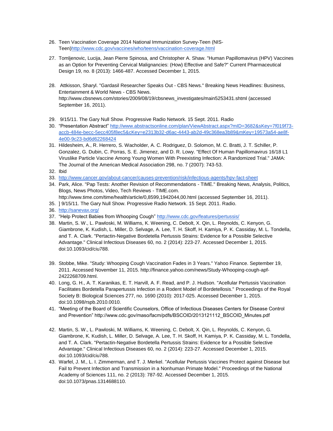- 26. Teen Vaccination Coverage 2014 National Immunization Survey-Teen (NIS-Teen[\)http://www.cdc.gov/vaccines/who/teens/vaccination-coverage.html](http://www.cdc.gov/vaccines/who/teens/vaccination-coverage.html)
- 27. Tomljenovic, Lucija, Jean Pierre Spinosa, and Christopher A. Shaw. "Human Papillomavirus (HPV) Vaccines as an Option for Preventing Cervical Malignancies: (How) Effective and Safe?" Current Pharmaceutical Design 19, no. 8 (2013): 1466-487. Accessed December 1, 2015.
- 28. Attkisson, Sharyl. "Gardasil Researcher Speaks Out CBS News." Breaking News Headlines: Business, Entertainment & World News - CBS News. http://www.cbsnews.com/stories/2009/08/19/cbsnews\_investigates/main5253431.shtml (accessed September 16, 2011).
- 29. 9/15/11. The Gary Null Show. Progressive Radio Network. 15 Sept. 2011. Radio
- 30. "Presentation Abstract[" http://www.abstractsonline.com/plan/ViewAbstract.aspx?mID=3682&sKey=7f019f73](http://www.abstractsonline.com/plan/ViewAbstract.aspx?mID=3682&sKey=7f019f73-accb-484e-becc-5ecc405f8ec5&cKey=e2313b32-d6ac-4443-ab2d-49c368ea3b89&mKey=19573a54-ae8f-4e00-9c23-bd6d62268424) [accb-484e-becc-5ecc405f8ec5&cKey=e2313b32-d6ac-4443-ab2d-49c368ea3b89&mKey=19573a54-ae8f-](http://www.abstractsonline.com/plan/ViewAbstract.aspx?mID=3682&sKey=7f019f73-accb-484e-becc-5ecc405f8ec5&cKey=e2313b32-d6ac-4443-ab2d-49c368ea3b89&mKey=19573a54-ae8f-4e00-9c23-bd6d62268424)[4e00-9c23-bd6d62268424](http://www.abstractsonline.com/plan/ViewAbstract.aspx?mID=3682&sKey=7f019f73-accb-484e-becc-5ecc405f8ec5&cKey=e2313b32-d6ac-4443-ab2d-49c368ea3b89&mKey=19573a54-ae8f-4e00-9c23-bd6d62268424)
- 31. Hildesheim, A., R. Herrero, S. Wacholder, A. C. Rodriguez, D. Solomon, M. C. Bratti, J. T. Schiller, P. Gonzalez, G. Dubin, C. Porras, S. E. Jimenez, and D. R. Lowy. "Effect Of Human Papillomavirus 16/18 L1 Viruslike Particle Vaccine Among Young Women With Preexisting Infection: A Randomized Trial." JAMA: The Journal of the American Medical Association 298, no. 7 (2007): 743-53.
- 32. Ibid
- 33. <http://www.cancer.gov/about-cancer/causes-prevention/risk/infectious-agents/hpv-fact-sheet>
- 34. Park, Alice. "Pap Tests: Another Revision of Recommendations TIME." Breaking News, Analysis, Politics, Blogs, News Photos, Video, Tech Reviews - TIME.com. http://www.time.com/time/health/article/0,8599,1942044,00.html (accessed September 16, 2011).
- 
- 35. ] 9/15/11. The Gary Null Show. Progressive Radio Network. 15 Sept. 2011. Radio.
- 36. <http://sanevax.org/>
- 37. "Help Protect Babies from Whooping Cough[" http://www.cdc.gov/features/pertussis/](http://www.cdc.gov/features/pertussis/)
- 38. Martin, S. W., L. Pawloski, M. Williams, K. Weening, C. Debolt, X. Qin, L. Reynolds, C. Kenyon, G. Giambrone, K. Kudish, L. Miller, D. Selvage, A. Lee, T. H. Skoff, H. Kamiya, P. K. Cassiday, M. L. Tondella, and T. A. Clark. "Pertactin-Negative Bordetella Pertussis Strains: Evidence for a Possible Selective Advantage." Clinical Infectious Diseases 60, no. 2 (2014): 223-27. Accessed December 1, 2015. doi:10.1093/cid/ciu788.
- 39. Stobbe, Mike. "Study: Whooping Cough Vaccination Fades in 3 Years." Yahoo Finance. September 19, 2011. Accessed November 11, 2015. http://finance.yahoo.com/news/Study-Whooping-cough-apf-2422268709.html.
- 40. Long, G. H., A. T. Karanikas, E. T. Harvill, A. F. Read, and P. J. Hudson. "Acellular Pertussis Vaccination Facilitates Bordetella Parapertussis Infection in a Rodent Model of Bordetellosis." Proceedings of the Royal Society B: Biological Sciences 277, no. 1690 (2010): 2017-025. Accessed December 1, 2015. doi:10.1098/rspb.2010.0010.
- 41. "Meeting of the Board of Scientific Counselors, Office of Infectious Diseases Centers for Disease Control and Prevention" http://www.cdc.gov/maso/facm/pdfs/BSCOID/2013121112\_BSCOID\_Minutes.pdf
- 42. Martin, S. W., L. Pawloski, M. Williams, K. Weening, C. Debolt, X. Qin, L. Reynolds, C. Kenyon, G. Giambrone, K. Kudish, L. Miller, D. Selvage, A. Lee, T. H. Skoff, H. Kamiya, P. K. Cassiday, M. L. Tondella, and T. A. Clark. "Pertactin-Negative Bordetella Pertussis Strains: Evidence for a Possible Selective Advantage." Clinical Infectious Diseases 60, no. 2 (2014): 223-27. Accessed December 1, 2015. doi:10.1093/cid/ciu788.
- 43. Warfel, J. M., L. I. Zimmerman, and T. J. Merkel. "Acellular Pertussis Vaccines Protect against Disease but Fail to Prevent Infection and Transmission in a Nonhuman Primate Model." Proceedings of the National Academy of Sciences 111, no. 2 (2013): 787-92. Accessed December 1, 2015. doi:10.1073/pnas.1314688110.